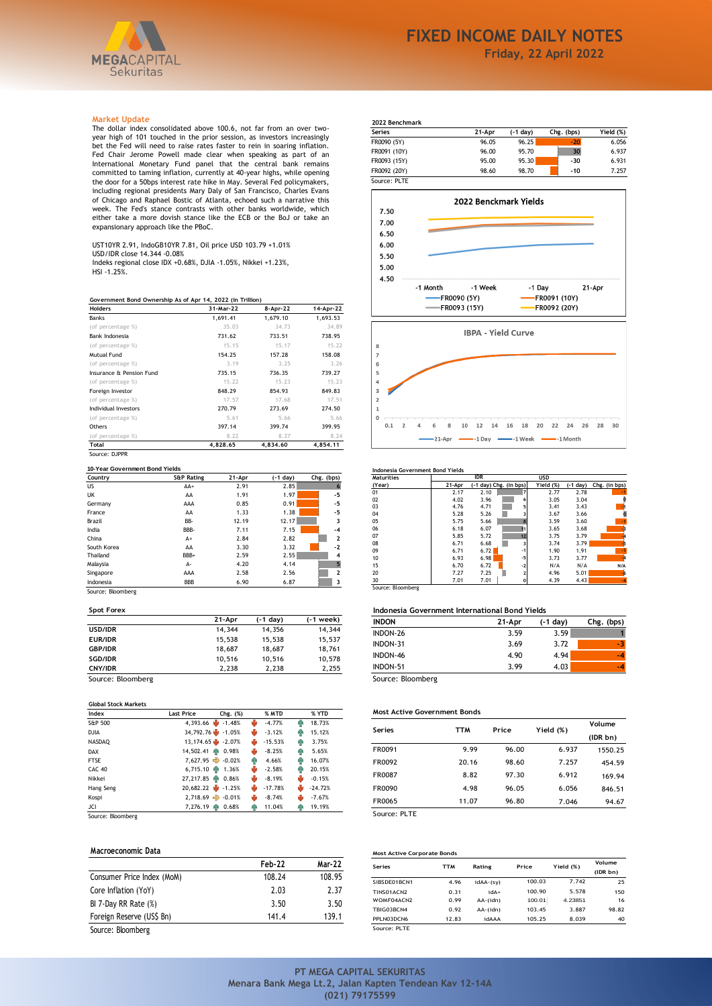

# **FIXED INCOME DAILY NOTES**

 **Friday, 22 April 2022**

### **Market Update**

The dollar index consolidated above 100.6, not far from an over twoyear high of 101 touched in the prior session, as investors increasingly bet the Fed will need to raise rates faster to rein in soaring inflation. Fed Chair Jerome Powell made clear when speaking as part of an International Monetary Fund panel that the central bank remains committed to taming inflation, currently at 40-year highs, while opening the door for a 50bps interest rate hike in May. Several Fed policymakers, including regional presidents Mary Daly of San Francisco, Charles Evans of Chicago and Raphael Bostic of Atlanta, echoed such a narrative this week. The Fed's stance contrasts with other banks worldwide, which either take a more dovish stance like the ECB or the BoJ or take an expansionary approach like the PBoC.

## UST10YR 2.91, IndoGB10YR 7.81, Oil price USD 103.79 +1.01% USD/IDR close 14.344 -0.08% Indeks regional close IDX +0.68%, DJIA -1.05%, Nikkei +1.23%,

HSI -1.25%.

| Government Bond Ownership As of Apr 14, 2022 (in Trillion) |           |          |           |  |  |  |
|------------------------------------------------------------|-----------|----------|-----------|--|--|--|
| <b>Holders</b>                                             | 31-Mar-22 | 8-Apr-22 | 14-Apr-22 |  |  |  |
| Banks                                                      | 1.691.41  | 1.679.10 | 1.693.53  |  |  |  |
| (of percentage %)                                          | 35.03     | 34.73    | 34.89     |  |  |  |
| Bank Indonesia                                             | 731.62    | 733.51   | 738.95    |  |  |  |
| (of percentage %)                                          | 15.15     | 15.17    | 15.22     |  |  |  |
| Mutual Fund                                                | 154.25    | 157.28   | 158.08    |  |  |  |
| (of percentage %)                                          | 3.19      | 3.25     | 3.26      |  |  |  |
| Insurance & Pension Fund                                   | 735.15    | 736.35   | 739.27    |  |  |  |
| (of percentage %)                                          | 15.22     | 15.23    | 15.23     |  |  |  |
| Foreign Investor                                           | 848.29    | 854.93   | 849.83    |  |  |  |
| (of percentage %)                                          | 17.57     | 17.68    | 17.51     |  |  |  |
| Individual Investors                                       | 270.79    | 273.69   | 274.50    |  |  |  |
| (of percentage %)                                          | 5.61      | 5.66     | 5.66      |  |  |  |
| Others                                                     | 397.14    | 399.74   | 399.95    |  |  |  |
| (of percentage %)                                          | 8.22      | 8.27     | 8.24      |  |  |  |
| Total                                                      | 4,828.65  | 4,834.60 | 4,854.11  |  |  |  |
| Source: DJPPR                                              |           |          |           |  |  |  |

#### **10-Year Government Bond Yields**

| Country           | <b>S&amp;P Rating</b> | 21-Apr | $(-1 day)$ | Chg. (bps)               |
|-------------------|-----------------------|--------|------------|--------------------------|
| <b>US</b>         | AA+                   | 2.91   | 2.85       | $6\phantom{1}6$          |
| <b>UK</b>         | AA                    | 1.91   | 1.97       | -5                       |
| Germany           | AAA                   | 0.85   | 0.91       | -5                       |
| France            | AA                    | 1.33   | 1.38       | $-5$                     |
| Brazil            | BB-                   | 12.19  | 12.17      | 3                        |
| India             | BBB-                  | 7.11   | 7.15       | $-4$                     |
| China             | A+                    | 2.84   | 2.82       | 2                        |
| South Korea       | AA                    | 3.30   | 3.32       | $-2$                     |
| Thailand          | BBB+                  | 2.59   | 2.55       | 4                        |
| Malaysia          | А-                    | 4.20   | 4.14       | 5                        |
| Singapore         | AAA                   | 2.58   | 2.56       | $\overline{\phantom{a}}$ |
| Indonesia         | <b>BBB</b>            | 6.90   | 6.87       | 3                        |
| Source: Bloomberg |                       |        |            |                          |

#### **Spot Forex**

|                   | 21-Apr | (-1 day) | (-1 week) |
|-------------------|--------|----------|-----------|
| USD/IDR           | 14,344 | 14,356   | 14.344    |
| <b>EUR/IDR</b>    | 15,538 | 15,538   | 15,537    |
| <b>GBP/IDR</b>    | 18,687 | 18,687   | 18,761    |
| SGD/IDR           | 10,516 | 10,516   | 10,578    |
| <b>CNY/IDR</b>    | 2.238  | 2.238    | 2,255     |
| Source: Bloomberg |        |          |           |

# **Global Stock Markets**

| Index         | Last Price | Chg. (%)                       |      | % MTD     |      | % YTD     |
|---------------|------------|--------------------------------|------|-----------|------|-----------|
| S&P 500       |            | 4,393.66 - 1.48%               | ۷b   | $-4.77%$  | ЙÑ   | 18.73%    |
| <b>DJIA</b>   |            | 34,792.76 - 1.05%              | والح | $-3.12%$  | ĥР   | 15.12%    |
| <b>NASDAO</b> |            | 13,174.65 - 2.07%              | ۷b   | $-15.53%$ | ЙÑ   | 3.75%     |
| <b>DAX</b>    |            | 14.502.41 @ 0.98%              | والح | $-8.25%$  | ЙÑ   | 5.65%     |
| <b>FTSE</b>   |            | $7.627.95 \rightarrow -0.02\%$ | ĥР   | 4.66%     | Яñ   | 16.07%    |
| CAC.40        |            | 6,715.10 4 1.36%               | w    | $-2.58%$  | ЙÑ   | 20.15%    |
| Nikkei        |            | 27,217.85 1 0.86%              | ۰Ŀ   | $-8.19%$  | والح | $-0.15%$  |
| Hang Seng     |            | 20,682.22 -1.25%               | والح | $-17.78%$ | والح | $-24.72%$ |
| Kospi         |            | $2.718.69 \div 0.01\%$         | والح | $-8.74%$  | والح | $-7.67%$  |
| <b>JCI</b>    |            | 7,276.19 1 0.68%               | ĥР   | 11.04%    | ЙÑ   | 19.19%    |

Source: Bloomberg

#### **Macroeconomic Data**

|                            | Feb-22 | Mar-22 |
|----------------------------|--------|--------|
| Consumer Price Index (MoM) | 108.24 | 108.95 |
| Core Inflation (YoY)       | 2.03   | 2.37   |
| BI 7-Day RR Rate (%)       | 3.50   | 3.50   |
| Foreign Reserve (US\$ Bn)  | 141.4  | 139.1  |
| $\sim$ $\sim$<br>$-1$      |        |        |

Source: Bloomberg

#### **2022 Benchmark**

 $\overline{1}$  $\Omega$  $0.1$ 

 $\overline{a}$  $6$ 

 $\overline{\phantom{a}}$ 

| <b>Series</b> | 21-Apr | $(-1 day)$ | Chg. (bps) | Yield (%) |
|---------------|--------|------------|------------|-----------|
| FR0090 (5Y)   | 96.05  | 96.25      | $-20$      | 6.056     |
| FR0091 (10Y)  | 96.00  | 95.70      | 30         | 6.937     |
| FR0093 (15Y)  | 95.00  | 95.30      | -30        | 6.931     |
| FR0092 (20Y)  | 98.60  | 98.70      | $-10$      | 7.257     |
| Source: PLTE  |        |            |            |           |





8 10 12 14 16 18 20 22 24 26 28 30

## 10 6.93 6.98 **-5** 3.73 3.77 **-4** 15 6.70 6.72 **-2** N/A N/A **N/A** 20 7.27 7.25 **2** 4.96 5.01 **-6** 30 7.01 7.01 **0** 4.39 4.43 **-4** Source: Bloomberg

# **Indonesia Government International Bond Yields**

| <b>INDON</b>      | 21-Apr | $(-1 day)$ | Chg. (bps) |
|-------------------|--------|------------|------------|
| INDON-26          | 3.59   | 3.59       |            |
| INDON-31          | 3.69   | 3.72       | -3         |
| INDON-46          | 4.90   | 4.94       | -4         |
| INDON-51          | 3.99   | 4.03       | -4         |
| Source: Bloomberg |        |            |            |

Source: Bloomberg

### **Most Active Government Bonds**

| <b>Series</b> | <b>TTM</b> | Price | Yield (%) | Volume   |
|---------------|------------|-------|-----------|----------|
|               |            |       |           | (IDR bn) |
| FR0091        | 9.99       | 96.00 | 6.937     | 1550.25  |
| FR0092        | 20.16      | 98.60 | 7.257     | 454.59   |
| FR0087        | 8.82       | 97.30 | 6.912     | 169.94   |
| FR0090        | 4.98       | 96.05 | 6.056     | 846.51   |
| FR0065        | 11.07      | 96.80 | 7.046     | 94.67    |
| Source: PLTE  |            |       |           |          |

| <b>Most Active Corporate Bonds</b> |            |           |        |           |                                 |
|------------------------------------|------------|-----------|--------|-----------|---------------------------------|
| <b>Series</b>                      | <b>TTM</b> | Rating    | Price  | Yield (%) | Volume<br>(IDR b <sub>n</sub> ) |
| SIBSDE01BCN1                       | 4.96       | idAA-(sy) | 100.03 | 7.742     | 25                              |
| TINS01ACN2                         | 0.31       | $i dA+$   | 100.90 | 5.578     | 150                             |
| WOMF04ACN2                         | 0.99       | AA-(idn)  | 100.01 | 4.23851   | 16                              |
| TBIG03BCN4                         | 0.92       | AA-(idn)  | 103.45 | 3.887     | 98.82                           |
| PPL N03DCN6                        | 12.83      | AAAhi     | 105.25 | 8.039     | 40                              |
| Source: PLTE                       |            |           |        |           |                                 |